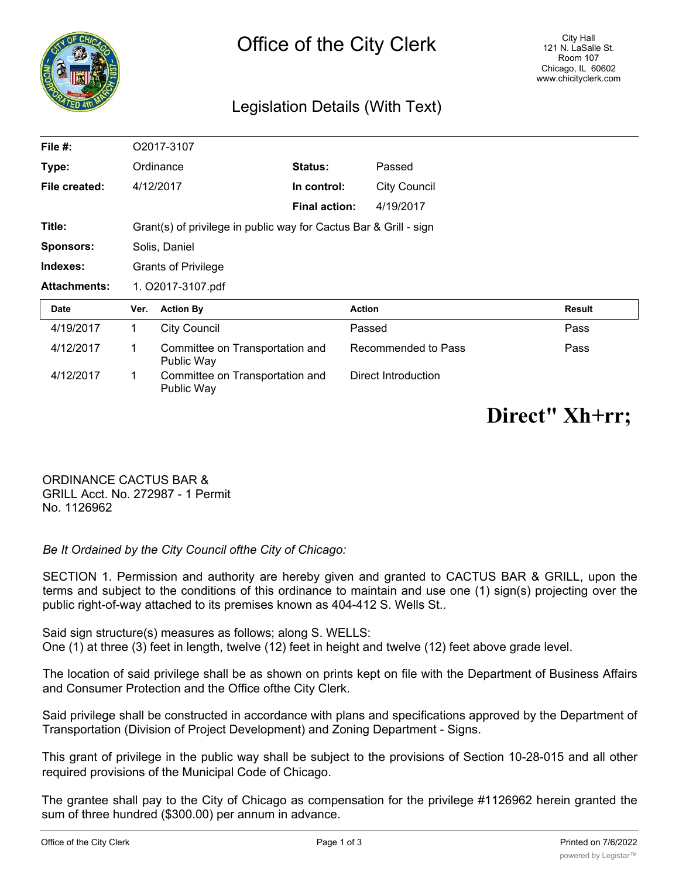

## Legislation Details (With Text)

| File #:             |                                                                   | O2017-3107                                    |                      |                     |               |
|---------------------|-------------------------------------------------------------------|-----------------------------------------------|----------------------|---------------------|---------------|
| Type:               |                                                                   | Ordinance                                     | <b>Status:</b>       | Passed              |               |
| File created:       | 4/12/2017                                                         |                                               | In control:          | <b>City Council</b> |               |
|                     |                                                                   |                                               | <b>Final action:</b> | 4/19/2017           |               |
| Title:              | Grant(s) of privilege in public way for Cactus Bar & Grill - sign |                                               |                      |                     |               |
| <b>Sponsors:</b>    | Solis, Daniel                                                     |                                               |                      |                     |               |
| Indexes:            | <b>Grants of Privilege</b>                                        |                                               |                      |                     |               |
| <b>Attachments:</b> | 1. O2017-3107.pdf                                                 |                                               |                      |                     |               |
| Date                | Ver.                                                              | <b>Action By</b>                              | <b>Action</b>        |                     | <b>Result</b> |
| 4/19/2017           | 1.                                                                | <b>City Council</b>                           |                      | Passed              | Pass          |
| 4/12/2017           | 1                                                                 | Committee on Transportation and<br>Public Way |                      | Recommended to Pass | Pass          |
| 4/12/2017           | 1                                                                 | Committee on Transportation and<br>Public Way |                      | Direct Introduction |               |

## **Direct" Xh+rr;**

ORDINANCE CACTUS BAR & GRILL Acct. No. 272987 - 1 Permit No. 1126962

*Be It Ordained by the City Council ofthe City of Chicago:*

SECTION 1. Permission and authority are hereby given and granted to CACTUS BAR & GRILL, upon the terms and subject to the conditions of this ordinance to maintain and use one (1) sign(s) projecting over the public right-of-way attached to its premises known as 404-412 S. Wells St..

Said sign structure(s) measures as follows; along S. WELLS: One (1) at three (3) feet in length, twelve (12) feet in height and twelve (12) feet above grade level.

The location of said privilege shall be as shown on prints kept on file with the Department of Business Affairs and Consumer Protection and the Office ofthe City Clerk.

Said privilege shall be constructed in accordance with plans and specifications approved by the Department of Transportation (Division of Project Development) and Zoning Department - Signs.

This grant of privilege in the public way shall be subject to the provisions of Section 10-28-015 and all other required provisions of the Municipal Code of Chicago.

The grantee shall pay to the City of Chicago as compensation for the privilege #1126962 herein granted the sum of three hundred (\$300.00) per annum in advance.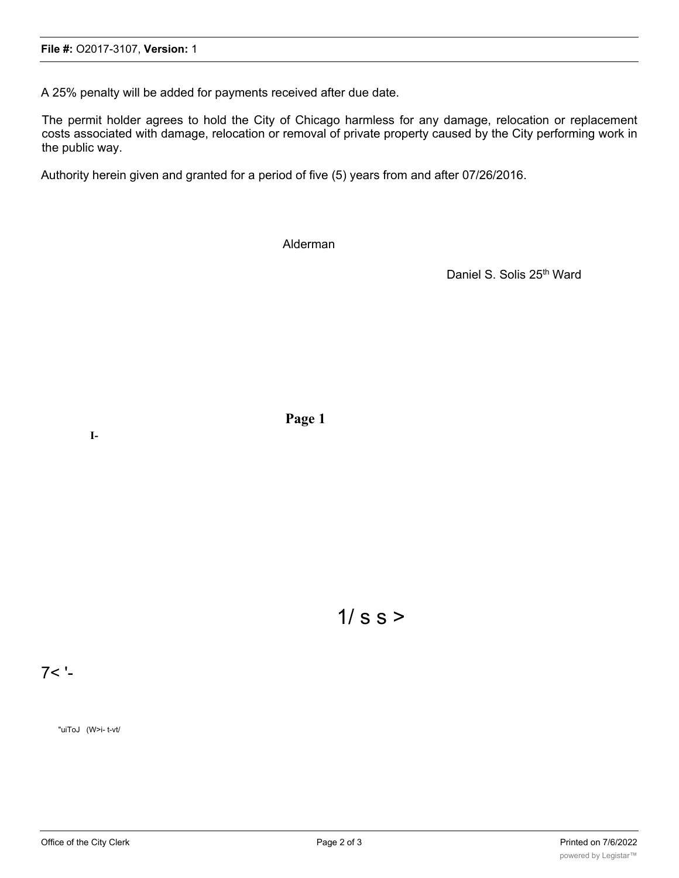A 25% penalty will be added for payments received after due date.

The permit holder agrees to hold the City of Chicago harmless for any damage, relocation or replacement costs associated with damage, relocation or removal of private property caused by the City performing work in the public way.

Authority herein given and granted for a period of five (5) years from and after 07/26/2016.

Alderman

Daniel S. Solis 25<sup>th</sup> Ward

**Page 1**

 $1/s$  s  $>$ 

7< '-

"uiToJ (W>i- t-vt/

**I-**